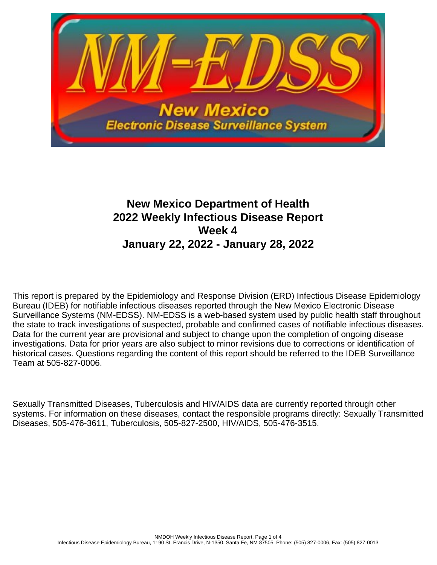

# **New Mexico Department of Health 2022 Weekly Infectious Disease Report Week 4 January 22, 2022 - January 28, 2022**

This report is prepared by the Epidemiology and Response Division (ERD) Infectious Disease Epidemiology Bureau (IDEB) for notifiable infectious diseases reported through the New Mexico Electronic Disease Surveillance Systems (NM-EDSS). NM-EDSS is a web-based system used by public health staff throughout the state to track investigations of suspected, probable and confirmed cases of notifiable infectious diseases. Data for the current year are provisional and subject to change upon the completion of ongoing disease investigations. Data for prior years are also subject to minor revisions due to corrections or identification of historical cases. Questions regarding the content of this report should be referred to the IDEB Surveillance Team at 505-827-0006.

Sexually Transmitted Diseases, Tuberculosis and HIV/AIDS data are currently reported through other systems. For information on these diseases, contact the responsible programs directly: Sexually Transmitted Diseases, 505-476-3611, Tuberculosis, 505-827-2500, HIV/AIDS, 505-476-3515.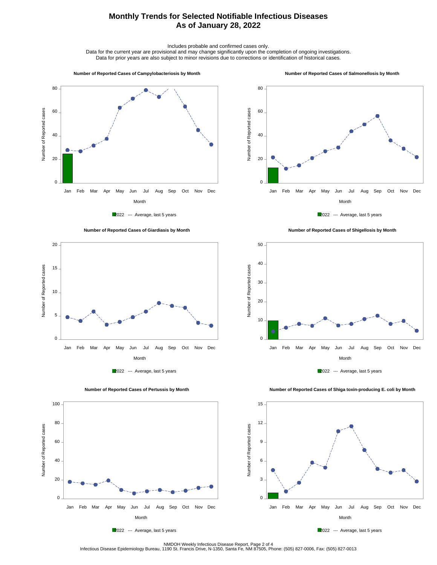## **Monthly Trends for Selected Notifiable Infectious Diseases As of January 28, 2022**

Includes probable and confirmed cases only.

Data for the current year are provisional and may change significantly upon the completion of ongoing investigations. Data for prior years are also subject to minor revisions due to corrections or identification of historical cases.

#### **Number of Reported Cases of Campylobacteriosis by Month**

#### **Number of Reported Cases of Salmonellosis by Month**









 **Number of Reported Cases of Shigellosis by Month**





Number of Reported cases

Number of Reported cases

0

20

40

60

80

100

2022 --- Average, last 5 years

Month Jan Feb Mar Apr May Jun Jul Aug Sep Oct Nov Dec

 **Number of Reported Cases of Shiga toxin-producing E. coli by Month**



NMDOH Weekly Infectious Disease Report, Page 2 of 4<br>Infectious Disease Epidemiology Bureau, 1190 St. Francis Drive, N-1350, Santa Fe, NM 87505, Phone: (505) 827-0006, Fax: (505) 827-0013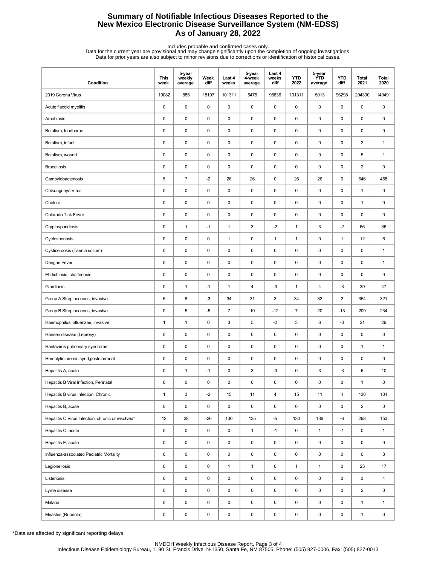## **Summary of Notifiable Infectious Diseases Reported to the New Mexico Electronic Disease Surveillance System (NM-EDSS) As of January 28, 2022**

Includes probable and confirmed cases only.<br>Data for the current year are provisional and may change significantly upon the completion of ongoing investigations.<br>Data for prior years are also subject to minor revisions due

| Condition                                         | <b>This</b><br>week | 5-year<br>weekly<br>average | Week<br>diff | Last 4<br>weeks | 5-year<br>4-week<br>average | Last 4<br>weeks<br>diff | <b>YTD</b><br>2022  | 5-year<br><b>YTD</b><br>average | <b>YTD</b><br>diff | Total<br>2021           | Total<br>2020 |
|---------------------------------------------------|---------------------|-----------------------------|--------------|-----------------|-----------------------------|-------------------------|---------------------|---------------------------------|--------------------|-------------------------|---------------|
| 2019 Corona Virus                                 | 19082               | 885                         | 18197        | 101311          | 5475                        | 95836                   | 101311              | 5013                            | 96298              | 204390                  | 149491        |
| Acute flaccid myelitis                            | 0                   | $\mathsf 0$                 | $\mathsf 0$  | $\pmb{0}$       | $\mathsf 0$                 | $\pmb{0}$               | $\pmb{0}$           | 0                               | $\pmb{0}$          | 0                       | 0             |
| Amebiasis                                         | 0                   | $\pmb{0}$                   | $\pmb{0}$    | $\pmb{0}$       | 0                           | $\mathbf 0$             | $\mathbf 0$         | $\pmb{0}$                       | 0                  | 0                       | 0             |
| Botulism, foodborne                               | 0                   | $\pmb{0}$                   | $\mathbf 0$  | $\pmb{0}$       | 0                           | $\mathbf 0$             | $\pmb{0}$           | 0                               | 0                  | 0                       | 0             |
| Botulism, infant                                  | 0                   | $\pmb{0}$                   | $\pmb{0}$    | $\pmb{0}$       | $\mathsf 0$                 | $\pmb{0}$               | $\mathbf 0$         | $\pmb{0}$                       | 0                  | $\overline{\mathbf{c}}$ | $\mathbf{1}$  |
| Botulism, wound                                   | 0                   | $\pmb{0}$                   | $\mathbf 0$  | $\pmb{0}$       | 0                           | $\mathbf 0$             | 0                   | 0                               | 0                  | 5                       | $\mathbf{1}$  |
| <b>Brucellosis</b>                                | 0                   | $\pmb{0}$                   | $\pmb{0}$    | $\pmb{0}$       | 0                           | $\pmb{0}$               | 0                   | 0                               | $\pmb{0}$          | $\overline{2}$          | 0             |
| Campylobacteriosis                                | 5                   | $\overline{7}$              | $-2$         | 26              | 26                          | $\pmb{0}$               | 26                  | 26                              | $\mathbf 0$        | 646                     | 458           |
| Chikungunya Virus                                 | 0                   | $\pmb{0}$                   | $\pmb{0}$    | $\pmb{0}$       | $\mathsf 0$                 | $\mathbf 0$             | $\pmb{0}$           | $\pmb{0}$                       | $\mathbf 0$        | $\mathbf{1}$            | 0             |
| Cholera                                           | 0                   | $\pmb{0}$                   | $\pmb{0}$    | $\pmb{0}$       | 0                           | $\mathbf 0$             | $\mathbf 0$         | $\pmb{0}$                       | 0                  | 1                       | 0             |
| Colorado Tick Fever                               | 0                   | $\mathbf 0$                 | $\mathbf 0$  | $\pmb{0}$       | 0                           | $\mathbf 0$             | $\pmb{0}$           | 0                               | 0                  | 0                       | 0             |
| Cryptosporidiosis                                 | 0                   | $\mathbf{1}$                | $-1$         | $\mathbf{1}$    | $\mathsf 3$                 | $-2$                    | $\mathbf{1}$        | 3                               | $-2$               | 66                      | 36            |
| Cyclosporiasis                                    | 0                   | $\mathbf 0$                 | $\pmb{0}$    | $\mathbf{1}$    | 0                           | $\mathbf{1}$            | $\mathbf{1}$        | 0                               | $\mathbf{1}$       | 12                      | 6             |
| Cysticercosis (Taenia solium)                     | 0                   | $\pmb{0}$                   | $\mathbf 0$  | $\pmb{0}$       | $\pmb{0}$                   | $\mathbf 0$             | $\pmb{0}$           | $\pmb{0}$                       | 0                  | 0                       | $\mathbf{1}$  |
| Dengue Fever                                      | 0                   | $\pmb{0}$                   | $\pmb{0}$    | $\pmb{0}$       | $\mathsf 0$                 | $\mathbf 0$             | $\pmb{0}$           | $\pmb{0}$                       | 0                  | 0                       | $\mathbf{1}$  |
| Ehrlichiosis, chaffeensis                         | 0                   | $\mathbf 0$                 | $\mathbf 0$  | $\pmb{0}$       | 0                           | $\mathbf 0$             | $\pmb{0}$           | 0                               | 0                  | 0                       | 0             |
| Giardiasis                                        | 0                   | $\mathbf{1}$                | $-1$         | $\mathbf{1}$    | $\overline{\mathbf{4}}$     | $-3$                    | $\mathbf{1}$        | 4                               | $-3$               | 39                      | 47            |
| Group A Streptococcus, invasive                   | 5                   | 8                           | $-3$         | 34              | 31                          | $\sqrt{3}$              | 34                  | 32                              | $\overline{2}$     | 354                     | 321           |
| Group B Streptococcus, invasive                   | 0                   | $\sqrt{5}$                  | $-5$         | $\overline{7}$  | 19                          | $-12$                   | $\overline{7}$      | 20                              | $-13$              | 209                     | 234           |
| Haemophilus influenzae, invasive                  | 1                   | $\mathbf{1}$                | $\pmb{0}$    | 3               | 5                           | $-2$                    | 3                   | 6                               | $-3$               | 21                      | 29            |
| Hansen disease (Leprosy)                          | 0                   | $\pmb{0}$                   | $\mathbf 0$  | $\pmb{0}$       | 0                           | $\mathbf 0$             | $\mathbf 0$         | 0                               | 0                  | 0                       | 0             |
| Hantavirus pulmonary syndrome                     | 0                   | $\pmb{0}$                   | $\pmb{0}$    | $\pmb{0}$       | 0                           | $\pmb{0}$               | 0                   | 0                               | $\pmb{0}$          | $\mathbf{1}$            | $\mathbf{1}$  |
| Hemolytic uremic synd, postdiarrheal              | 0                   | $\pmb{0}$                   | $\pmb{0}$    | $\pmb{0}$       | 0                           | $\pmb{0}$               | $\pmb{0}$           | $\pmb{0}$                       | 0                  | 0                       | 0             |
| Hepatitis A, acute                                | 0                   | $\mathbf{1}$                | $-1$         | $\pmb{0}$       | 3                           | $-3$                    | $\pmb{0}$           | 3                               | $-3$               | 6                       | 10            |
| Hepatitis B Viral Infection, Perinatal            | 0                   | $\pmb{0}$                   | 0            | $\pmb{0}$       | $\pmb{0}$                   | 0                       | 0                   | 0                               | 0                  | 1                       | 0             |
| Hepatitis B virus infection, Chronic              | $\mathbf{1}$        | $\mathsf 3$                 | $-2$         | 15              | 11                          | 4                       | 15                  | 11                              | 4                  | 130                     | 104           |
| Hepatitis B, acute                                | 0                   | $\pmb{0}$                   | $\pmb{0}$    | 0               | 0                           | $\pmb{0}$               | 0                   | $\pmb{0}$                       | 0                  | $\overline{2}$          | 0             |
| Hepatitis C Virus Infection, chronic or resolved* | 12                  | 38                          | $-26$        | 130             | 135                         | $-5$                    | 130                 | 136                             | $-6$               | 298                     | 153           |
| Hepatitis C, acute                                | 0                   | $\pmb{0}$                   | $\mathsf 0$  | 0               | $\mathbf{1}$                | $-1$                    | 0                   | $\mathbf{1}$                    | $-1$               | 0                       | $\mathbf{1}$  |
| Hepatitis E, acute                                | 0                   | $\pmb{0}$                   | $\pmb{0}$    | 0               | $\pmb{0}$                   | $\pmb{0}$               | $\mathsf{O}\xspace$ | $\pmb{0}$                       | 0                  | 0                       | 0             |
| Influenza-associated Pediatric Mortality          | 0                   | $\pmb{0}$                   | $\pmb{0}$    | 0               | 0                           | $\pmb{0}$               | $\mathsf 0$         | 0                               | 0                  | 0                       | 3             |
| Legionellosis                                     | 0                   | $\pmb{0}$                   | $\pmb{0}$    | $\mathbf{1}$    | $\mathbf{1}$                | $\pmb{0}$               | $\mathbf{1}$        | $\mathbf{1}$                    | 0                  | 23                      | 17            |
| Listeriosis                                       | 0                   | $\pmb{0}$                   | $\mathsf 0$  | $\pmb{0}$       | 0                           | $\pmb{0}$               | $\mathsf 0$         | 0                               | 0                  | 3                       | 4             |
| Lyme disease                                      | 0                   | $\pmb{0}$                   | 0            | 0               | 0                           | $\mathsf 0$             | 0                   | 0                               | 0                  | $\overline{2}$          | 0             |
| Malaria                                           | 0                   | $\pmb{0}$                   | $\mathsf 0$  | 0               | $\pmb{0}$                   | $\pmb{0}$               | $\mathsf{O}\xspace$ | 0                               | 0                  | $\mathbf{1}$            | $\mathbf{1}$  |
| Measles (Rubeola)                                 | 0                   | $\pmb{0}$                   | $\pmb{0}$    | 0               | $\pmb{0}$                   | $\pmb{0}$               | $\mathsf 0$         | $\pmb{0}$                       | 0                  | $\mathbf{1}$            | 0             |

\*Data are affected by significant reporting delays